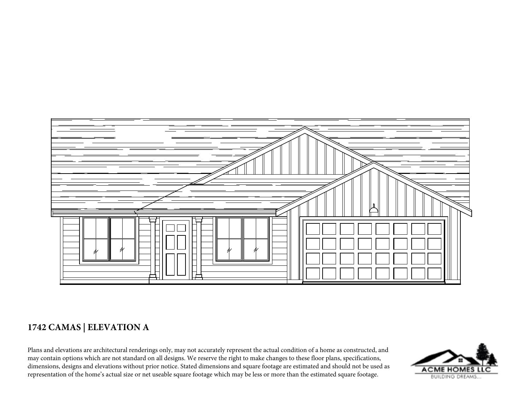

## **1742 CAMAS | ELEVATION A**

Plans and elevations are architectural renderings only, may not accurately represent the actual condition of a home as constructed, and may contain options which are not standard on all designs. We reserve the right to make changes to these floor plans, specifications, dimensions, designs and elevations without prior notice. Stated dimensions and square footage are estimated and should not be used as representation of the home's actual size or net useable square footage which may be less or more than the estimated square footage.

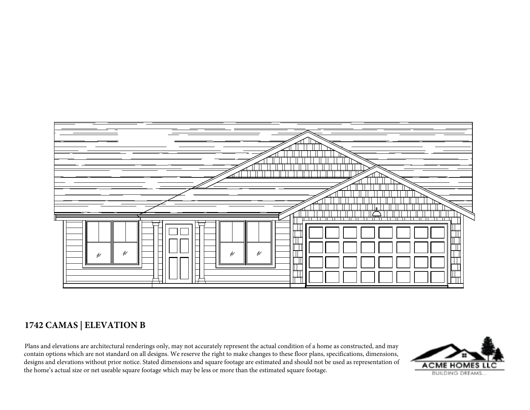

## **1742 CAMAS | ELEVATION B**

Plans and elevations are architectural renderings only, may not accurately represent the actual condition of a home as constructed, and may contain options which are not standard on all designs. We reserve the right to make changes to these floor plans, specifications, dimensions, designs and elevations without prior notice. Stated dimensions and square footage are estimated and should not be used as representation of the home's actual size or net useable square footage which may be less or more than the estimated square footage.